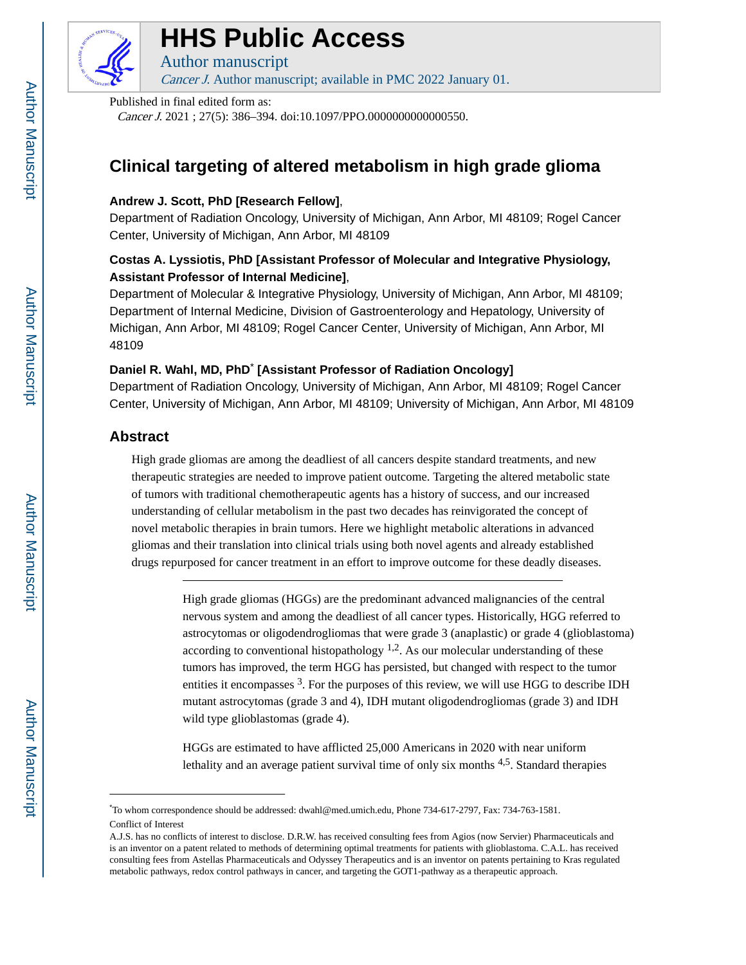

# **HHS Public Access**

Author manuscript

Cancer J. Author manuscript; available in PMC 2022 January 01.

Published in final edited form as:

Cancer J. 2021 ; 27(5): 386–394. doi:10.1097/PPO.0000000000000550.

# **Clinical targeting of altered metabolism in high grade glioma**

### **Andrew J. Scott, PhD [Research Fellow]**,

Department of Radiation Oncology, University of Michigan, Ann Arbor, MI 48109; Rogel Cancer Center, University of Michigan, Ann Arbor, MI 48109

### **Costas A. Lyssiotis, PhD [Assistant Professor of Molecular and Integrative Physiology, Assistant Professor of Internal Medicine]**,

Department of Molecular & Integrative Physiology, University of Michigan, Ann Arbor, MI 48109; Department of Internal Medicine, Division of Gastroenterology and Hepatology, University of Michigan, Ann Arbor, MI 48109; Rogel Cancer Center, University of Michigan, Ann Arbor, MI 48109

#### **Daniel R. Wahl, MD, PhD**\*  **[Assistant Professor of Radiation Oncology]**

Department of Radiation Oncology, University of Michigan, Ann Arbor, MI 48109; Rogel Cancer Center, University of Michigan, Ann Arbor, MI 48109; University of Michigan, Ann Arbor, MI 48109

## **Abstract**

High grade gliomas are among the deadliest of all cancers despite standard treatments, and new therapeutic strategies are needed to improve patient outcome. Targeting the altered metabolic state of tumors with traditional chemotherapeutic agents has a history of success, and our increased understanding of cellular metabolism in the past two decades has reinvigorated the concept of novel metabolic therapies in brain tumors. Here we highlight metabolic alterations in advanced gliomas and their translation into clinical trials using both novel agents and already established drugs repurposed for cancer treatment in an effort to improve outcome for these deadly diseases.

> High grade gliomas (HGGs) are the predominant advanced malignancies of the central nervous system and among the deadliest of all cancer types. Historically, HGG referred to astrocytomas or oligodendrogliomas that were grade 3 (anaplastic) or grade 4 (glioblastoma) according to conventional histopathology  $1.2$ . As our molecular understanding of these tumors has improved, the term HGG has persisted, but changed with respect to the tumor entities it encompasses <sup>3</sup>. For the purposes of this review, we will use HGG to describe IDH mutant astrocytomas (grade 3 and 4), IDH mutant oligodendrogliomas (grade 3) and IDH wild type glioblastomas (grade 4).

HGGs are estimated to have afflicted 25,000 Americans in 2020 with near uniform lethality and an average patient survival time of only six months <sup>4,5</sup>. Standard therapies

<sup>\*</sup>To whom correspondence should be addressed: dwahl@med.umich.edu, Phone 734-617-2797, Fax: 734-763-1581. Conflict of Interest

A.J.S. has no conflicts of interest to disclose. D.R.W. has received consulting fees from Agios (now Servier) Pharmaceuticals and is an inventor on a patent related to methods of determining optimal treatments for patients with glioblastoma. C.A.L. has received consulting fees from Astellas Pharmaceuticals and Odyssey Therapeutics and is an inventor on patents pertaining to Kras regulated metabolic pathways, redox control pathways in cancer, and targeting the GOT1-pathway as a therapeutic approach.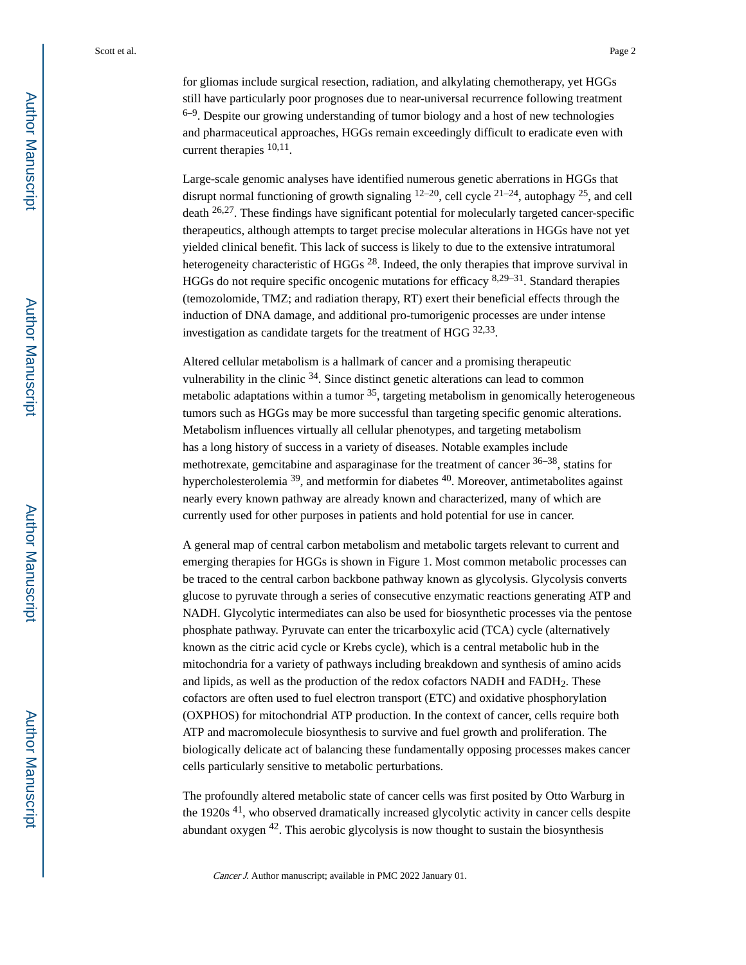for gliomas include surgical resection, radiation, and alkylating chemotherapy, yet HGGs still have particularly poor prognoses due to near-universal recurrence following treatment <sup>6–9</sup>. Despite our growing understanding of tumor biology and a host of new technologies and pharmaceutical approaches, HGGs remain exceedingly difficult to eradicate even with current therapies  $10,11$ .

Large-scale genomic analyses have identified numerous genetic aberrations in HGGs that disrupt normal functioning of growth signaling  $12-20$ , cell cycle  $21-24$ , autophagy  $25$ , and cell death 26,27. These findings have significant potential for molecularly targeted cancer-specific therapeutics, although attempts to target precise molecular alterations in HGGs have not yet yielded clinical benefit. This lack of success is likely to due to the extensive intratumoral heterogeneity characteristic of HGGs 28. Indeed, the only therapies that improve survival in HGGs do not require specific oncogenic mutations for efficacy 8,29–31. Standard therapies (temozolomide, TMZ; and radiation therapy, RT) exert their beneficial effects through the induction of DNA damage, and additional pro-tumorigenic processes are under intense investigation as candidate targets for the treatment of HGG  $32,33$ .

Altered cellular metabolism is a hallmark of cancer and a promising therapeutic vulnerability in the clinic 34. Since distinct genetic alterations can lead to common metabolic adaptations within a tumor  $35$ , targeting metabolism in genomically heterogeneous tumors such as HGGs may be more successful than targeting specific genomic alterations. Metabolism influences virtually all cellular phenotypes, and targeting metabolism has a long history of success in a variety of diseases. Notable examples include methotrexate, gemcitabine and asparaginase for the treatment of cancer  $36-38$ , statins for hypercholesterolemia <sup>39</sup>, and metformin for diabetes <sup>40</sup>. Moreover, antimetabolites against nearly every known pathway are already known and characterized, many of which are currently used for other purposes in patients and hold potential for use in cancer.

A general map of central carbon metabolism and metabolic targets relevant to current and emerging therapies for HGGs is shown in Figure 1. Most common metabolic processes can be traced to the central carbon backbone pathway known as glycolysis. Glycolysis converts glucose to pyruvate through a series of consecutive enzymatic reactions generating ATP and NADH. Glycolytic intermediates can also be used for biosynthetic processes via the pentose phosphate pathway. Pyruvate can enter the tricarboxylic acid (TCA) cycle (alternatively known as the citric acid cycle or Krebs cycle), which is a central metabolic hub in the mitochondria for a variety of pathways including breakdown and synthesis of amino acids and lipids, as well as the production of the redox cofactors NADH and FADH<sub>2</sub>. These cofactors are often used to fuel electron transport (ETC) and oxidative phosphorylation (OXPHOS) for mitochondrial ATP production. In the context of cancer, cells require both ATP and macromolecule biosynthesis to survive and fuel growth and proliferation. The biologically delicate act of balancing these fundamentally opposing processes makes cancer cells particularly sensitive to metabolic perturbations.

The profoundly altered metabolic state of cancer cells was first posited by Otto Warburg in the 1920s<sup>41</sup>, who observed dramatically increased glycolytic activity in cancer cells despite abundant oxygen 42. This aerobic glycolysis is now thought to sustain the biosynthesis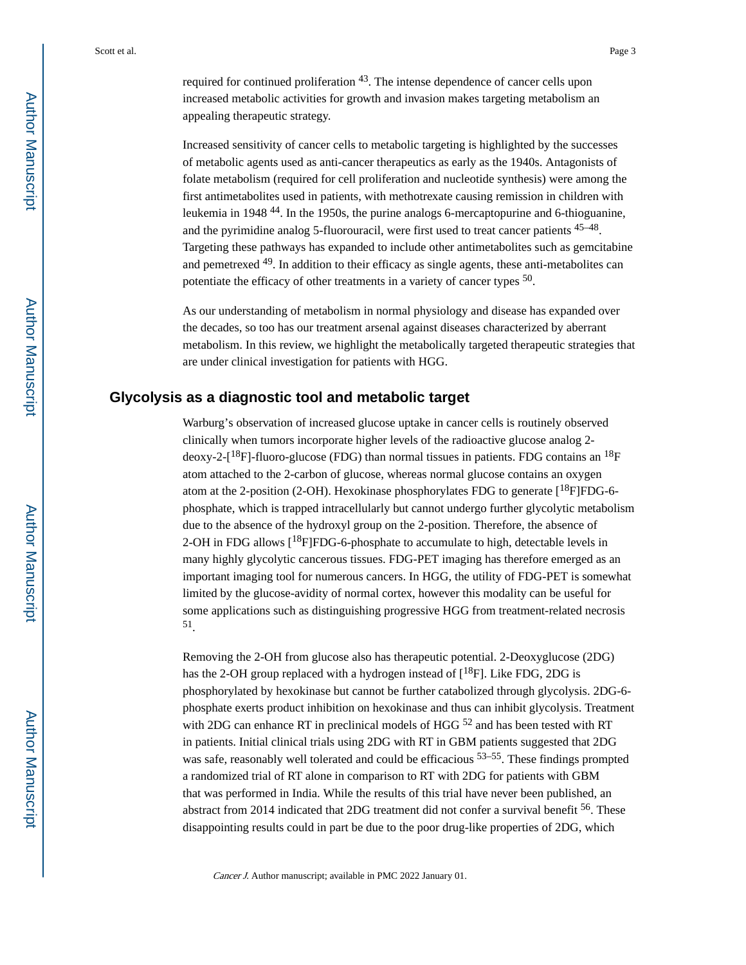required for continued proliferation 43. The intense dependence of cancer cells upon increased metabolic activities for growth and invasion makes targeting metabolism an appealing therapeutic strategy.

Increased sensitivity of cancer cells to metabolic targeting is highlighted by the successes of metabolic agents used as anti-cancer therapeutics as early as the 1940s. Antagonists of folate metabolism (required for cell proliferation and nucleotide synthesis) were among the first antimetabolites used in patients, with methotrexate causing remission in children with leukemia in 1948 44. In the 1950s, the purine analogs 6-mercaptopurine and 6-thioguanine, and the pyrimidine analog 5-fluorouracil, were first used to treat cancer patients <sup>45–48</sup>. Targeting these pathways has expanded to include other antimetabolites such as gemcitabine and pemetrexed <sup>49</sup>. In addition to their efficacy as single agents, these anti-metabolites can potentiate the efficacy of other treatments in a variety of cancer types <sup>50</sup>.

As our understanding of metabolism in normal physiology and disease has expanded over the decades, so too has our treatment arsenal against diseases characterized by aberrant metabolism. In this review, we highlight the metabolically targeted therapeutic strategies that are under clinical investigation for patients with HGG.

### **Glycolysis as a diagnostic tool and metabolic target**

Warburg's observation of increased glucose uptake in cancer cells is routinely observed clinically when tumors incorporate higher levels of the radioactive glucose analog 2 deoxy-2- $[^{18}F]$ -fluoro-glucose (FDG) than normal tissues in patients. FDG contains an  $^{18}F$ atom attached to the 2-carbon of glucose, whereas normal glucose contains an oxygen atom at the 2-position (2-OH). Hexokinase phosphorylates FDG to generate  $[18F]FDG-6$ phosphate, which is trapped intracellularly but cannot undergo further glycolytic metabolism due to the absence of the hydroxyl group on the 2-position. Therefore, the absence of 2-OH in FDG allows  $[18F]FDG-6$ -phosphate to accumulate to high, detectable levels in many highly glycolytic cancerous tissues. FDG-PET imaging has therefore emerged as an important imaging tool for numerous cancers. In HGG, the utility of FDG-PET is somewhat limited by the glucose-avidity of normal cortex, however this modality can be useful for some applications such as distinguishing progressive HGG from treatment-related necrosis 51 .

Removing the 2-OH from glucose also has therapeutic potential. 2-Deoxyglucose (2DG) has the 2-OH group replaced with a hydrogen instead of  $[18F]$ . Like FDG, 2DG is phosphorylated by hexokinase but cannot be further catabolized through glycolysis. 2DG-6 phosphate exerts product inhibition on hexokinase and thus can inhibit glycolysis. Treatment with 2DG can enhance RT in preclinical models of HGG  $52$  and has been tested with RT in patients. Initial clinical trials using 2DG with RT in GBM patients suggested that 2DG was safe, reasonably well tolerated and could be efficacious <sup>53–55</sup>. These findings prompted a randomized trial of RT alone in comparison to RT with 2DG for patients with GBM that was performed in India. While the results of this trial have never been published, an abstract from 2014 indicated that 2DG treatment did not confer a survival benefit 56. These disappointing results could in part be due to the poor drug-like properties of 2DG, which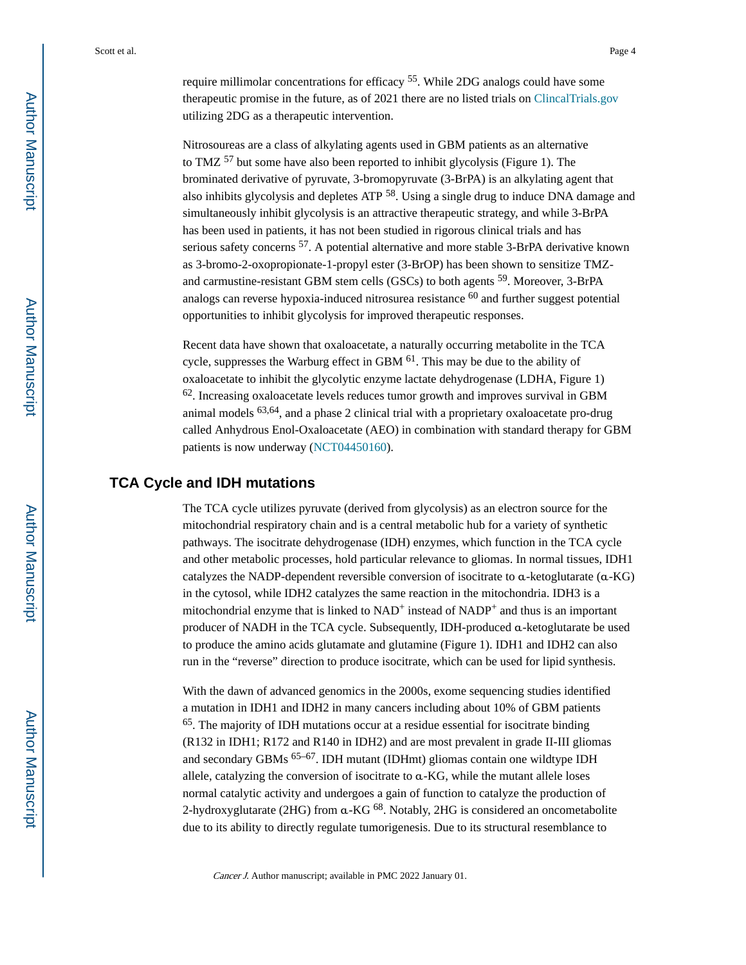require millimolar concentrations for efficacy 55. While 2DG analogs could have some therapeutic promise in the future, as of 2021 there are no listed trials on [ClincalTrials.gov](http://ClincalTrials.gov)  utilizing 2DG as a therapeutic intervention.

Nitrosoureas are a class of alkylating agents used in GBM patients as an alternative to TMZ 57 but some have also been reported to inhibit glycolysis (Figure 1). The brominated derivative of pyruvate, 3-bromopyruvate (3-BrPA) is an alkylating agent that also inhibits glycolysis and depletes ATP 58. Using a single drug to induce DNA damage and simultaneously inhibit glycolysis is an attractive therapeutic strategy, and while 3-BrPA has been used in patients, it has not been studied in rigorous clinical trials and has serious safety concerns 57. A potential alternative and more stable 3-BrPA derivative known as 3-bromo-2-oxopropionate-1-propyl ester (3-BrOP) has been shown to sensitize TMZand carmustine-resistant GBM stem cells (GSCs) to both agents 59. Moreover, 3-BrPA analogs can reverse hypoxia-induced nitrosurea resistance 60 and further suggest potential opportunities to inhibit glycolysis for improved therapeutic responses.

Recent data have shown that oxaloacetate, a naturally occurring metabolite in the TCA cycle, suppresses the Warburg effect in GBM  $<sup>61</sup>$ . This may be due to the ability of</sup> oxaloacetate to inhibit the glycolytic enzyme lactate dehydrogenase (LDHA, Figure 1) <sup>62</sup>. Increasing oxaloacetate levels reduces tumor growth and improves survival in GBM animal models <sup>63,64</sup>, and a phase 2 clinical trial with a proprietary oxaloacetate pro-drug called Anhydrous Enol-Oxaloacetate (AEO) in combination with standard therapy for GBM patients is now underway [\(NCT04450160](https://clinicaltrials.gov/ct2/show/NCT04450160)).

### **TCA Cycle and IDH mutations**

The TCA cycle utilizes pyruvate (derived from glycolysis) as an electron source for the mitochondrial respiratory chain and is a central metabolic hub for a variety of synthetic pathways. The isocitrate dehydrogenase (IDH) enzymes, which function in the TCA cycle and other metabolic processes, hold particular relevance to gliomas. In normal tissues, IDH1 catalyzes the NADP-dependent reversible conversion of isocitrate to α-ketoglutarate (α-KG) in the cytosol, while IDH2 catalyzes the same reaction in the mitochondria. IDH3 is a mitochondrial enzyme that is linked to  $NAD<sup>+</sup>$  instead of  $NAD<sup>+</sup>$  and thus is an important producer of NADH in the TCA cycle. Subsequently, IDH-produced α-ketoglutarate be used to produce the amino acids glutamate and glutamine (Figure 1). IDH1 and IDH2 can also run in the "reverse" direction to produce isocitrate, which can be used for lipid synthesis.

With the dawn of advanced genomics in the 2000s, exome sequencing studies identified a mutation in IDH1 and IDH2 in many cancers including about 10% of GBM patients <sup>65</sup>. The majority of IDH mutations occur at a residue essential for isocitrate binding (R132 in IDH1; R172 and R140 in IDH2) and are most prevalent in grade II-III gliomas and secondary GBMs 65–67. IDH mutant (IDHmt) gliomas contain one wildtype IDH allele, catalyzing the conversion of isocitrate to α-KG, while the mutant allele loses normal catalytic activity and undergoes a gain of function to catalyze the production of 2-hydroxyglutarate (2HG) from α-KG 68. Notably, 2HG is considered an oncometabolite due to its ability to directly regulate tumorigenesis. Due to its structural resemblance to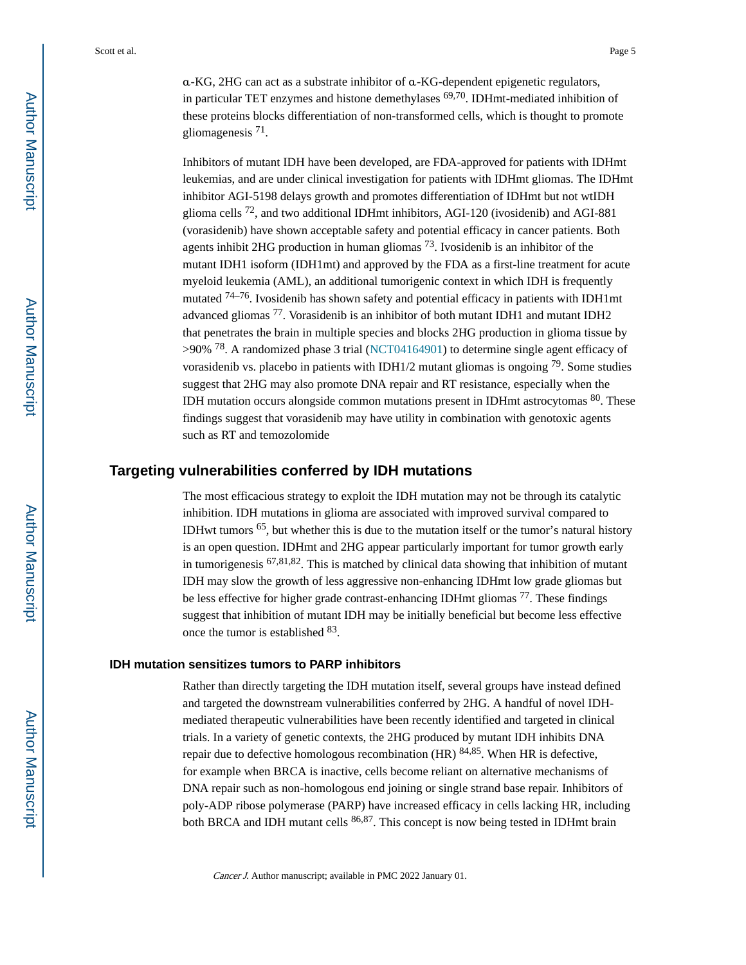α-KG, 2HG can act as a substrate inhibitor of α-KG-dependent epigenetic regulators, in particular TET enzymes and histone demethylases  $69,70$ . IDHmt-mediated inhibition of these proteins blocks differentiation of non-transformed cells, which is thought to promote gliomagenesis<sup>71</sup>.

Inhibitors of mutant IDH have been developed, are FDA-approved for patients with IDHmt leukemias, and are under clinical investigation for patients with IDHmt gliomas. The IDHmt inhibitor AGI-5198 delays growth and promotes differentiation of IDHmt but not wtIDH glioma cells  $^{72}$ , and two additional IDHmt inhibitors, AGI-120 (ivosidenib) and AGI-881 (vorasidenib) have shown acceptable safety and potential efficacy in cancer patients. Both agents inhibit 2HG production in human gliomas 73. Ivosidenib is an inhibitor of the mutant IDH1 isoform (IDH1mt) and approved by the FDA as a first-line treatment for acute myeloid leukemia (AML), an additional tumorigenic context in which IDH is frequently mutated  $74-76$ . Ivosidenib has shown safety and potential efficacy in patients with IDH1mt advanced gliomas 77. Vorasidenib is an inhibitor of both mutant IDH1 and mutant IDH2 that penetrates the brain in multiple species and blocks 2HG production in glioma tissue by >90% 78. A randomized phase 3 trial ([NCT04164901\)](https://clinicaltrials.gov/ct2/show/NCT04164901) to determine single agent efficacy of vorasidenib vs. placebo in patients with IDH $1/2$  mutant gliomas is ongoing  $79$ . Some studies suggest that 2HG may also promote DNA repair and RT resistance, especially when the IDH mutation occurs alongside common mutations present in IDHmt astrocytomas 80. These findings suggest that vorasidenib may have utility in combination with genotoxic agents such as RT and temozolomide

#### **Targeting vulnerabilities conferred by IDH mutations**

The most efficacious strategy to exploit the IDH mutation may not be through its catalytic inhibition. IDH mutations in glioma are associated with improved survival compared to IDHwt tumors 65, but whether this is due to the mutation itself or the tumor's natural history is an open question. IDHmt and 2HG appear particularly important for tumor growth early in tumorigenesis  $67,81,82$ . This is matched by clinical data showing that inhibition of mutant IDH may slow the growth of less aggressive non-enhancing IDHmt low grade gliomas but be less effective for higher grade contrast-enhancing IDHmt gliomas 77. These findings suggest that inhibition of mutant IDH may be initially beneficial but become less effective once the tumor is established <sup>83</sup>.

#### **IDH mutation sensitizes tumors to PARP inhibitors**

Rather than directly targeting the IDH mutation itself, several groups have instead defined and targeted the downstream vulnerabilities conferred by 2HG. A handful of novel IDHmediated therapeutic vulnerabilities have been recently identified and targeted in clinical trials. In a variety of genetic contexts, the 2HG produced by mutant IDH inhibits DNA repair due to defective homologous recombination (HR) 84,85. When HR is defective, for example when BRCA is inactive, cells become reliant on alternative mechanisms of DNA repair such as non-homologous end joining or single strand base repair. Inhibitors of poly-ADP ribose polymerase (PARP) have increased efficacy in cells lacking HR, including both BRCA and IDH mutant cells 86,87. This concept is now being tested in IDHmt brain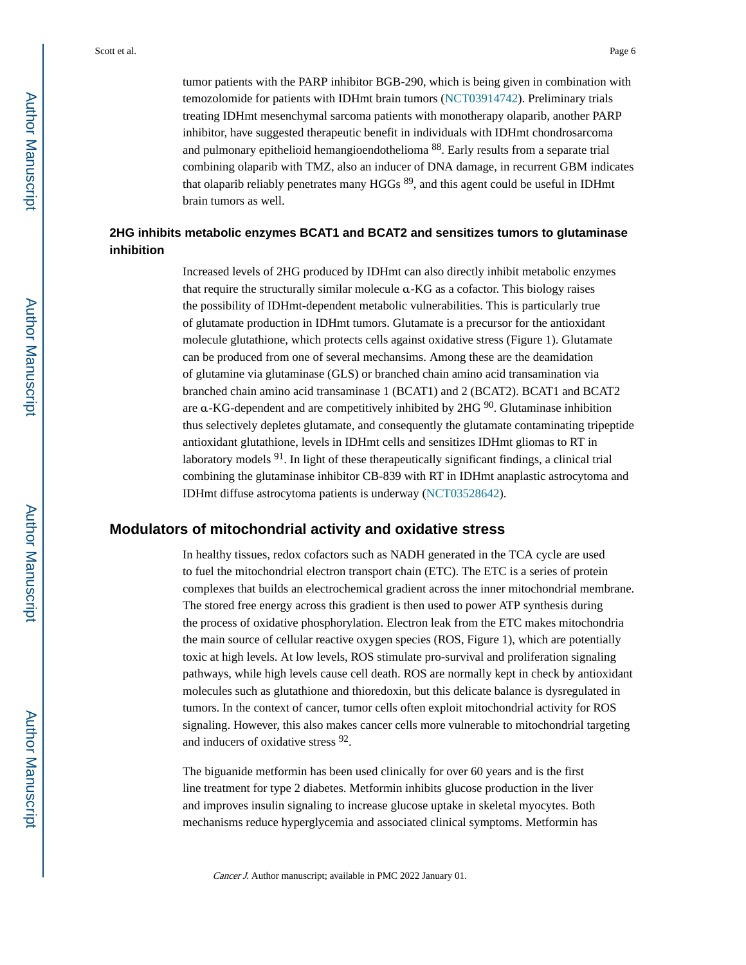tumor patients with the PARP inhibitor BGB-290, which is being given in combination with temozolomide for patients with IDHmt brain tumors [\(NCT03914742](https://clinicaltrials.gov/ct2/show/NCT03914742)). Preliminary trials treating IDHmt mesenchymal sarcoma patients with monotherapy olaparib, another PARP inhibitor, have suggested therapeutic benefit in individuals with IDHmt chondrosarcoma and pulmonary epithelioid hemangioendothelioma 88. Early results from a separate trial combining olaparib with TMZ, also an inducer of DNA damage, in recurrent GBM indicates that olaparib reliably penetrates many HGGs 89, and this agent could be useful in IDHmt brain tumors as well.

#### **2HG inhibits metabolic enzymes BCAT1 and BCAT2 and sensitizes tumors to glutaminase inhibition**

Increased levels of 2HG produced by IDHmt can also directly inhibit metabolic enzymes that require the structurally similar molecule α-KG as a cofactor. This biology raises the possibility of IDHmt-dependent metabolic vulnerabilities. This is particularly true of glutamate production in IDHmt tumors. Glutamate is a precursor for the antioxidant molecule glutathione, which protects cells against oxidative stress (Figure 1). Glutamate can be produced from one of several mechansims. Among these are the deamidation of glutamine via glutaminase (GLS) or branched chain amino acid transamination via branched chain amino acid transaminase 1 (BCAT1) and 2 (BCAT2). BCAT1 and BCAT2 are  $\alpha$ -KG-dependent and are competitively inhibited by 2HG  $\rm{^{90}}$ . Glutaminase inhibition thus selectively depletes glutamate, and consequently the glutamate contaminating tripeptide antioxidant glutathione, levels in IDHmt cells and sensitizes IDHmt gliomas to RT in laboratory models  $91$ . In light of these therapeutically significant findings, a clinical trial combining the glutaminase inhibitor CB-839 with RT in IDHmt anaplastic astrocytoma and IDHmt diffuse astrocytoma patients is underway [\(NCT03528642](https://clinicaltrials.gov/ct2/show/NCT03528642)).

### **Modulators of mitochondrial activity and oxidative stress**

In healthy tissues, redox cofactors such as NADH generated in the TCA cycle are used to fuel the mitochondrial electron transport chain (ETC). The ETC is a series of protein complexes that builds an electrochemical gradient across the inner mitochondrial membrane. The stored free energy across this gradient is then used to power ATP synthesis during the process of oxidative phosphorylation. Electron leak from the ETC makes mitochondria the main source of cellular reactive oxygen species (ROS, Figure 1), which are potentially toxic at high levels. At low levels, ROS stimulate pro-survival and proliferation signaling pathways, while high levels cause cell death. ROS are normally kept in check by antioxidant molecules such as glutathione and thioredoxin, but this delicate balance is dysregulated in tumors. In the context of cancer, tumor cells often exploit mitochondrial activity for ROS signaling. However, this also makes cancer cells more vulnerable to mitochondrial targeting and inducers of oxidative stress <sup>92</sup>.

The biguanide metformin has been used clinically for over 60 years and is the first line treatment for type 2 diabetes. Metformin inhibits glucose production in the liver and improves insulin signaling to increase glucose uptake in skeletal myocytes. Both mechanisms reduce hyperglycemia and associated clinical symptoms. Metformin has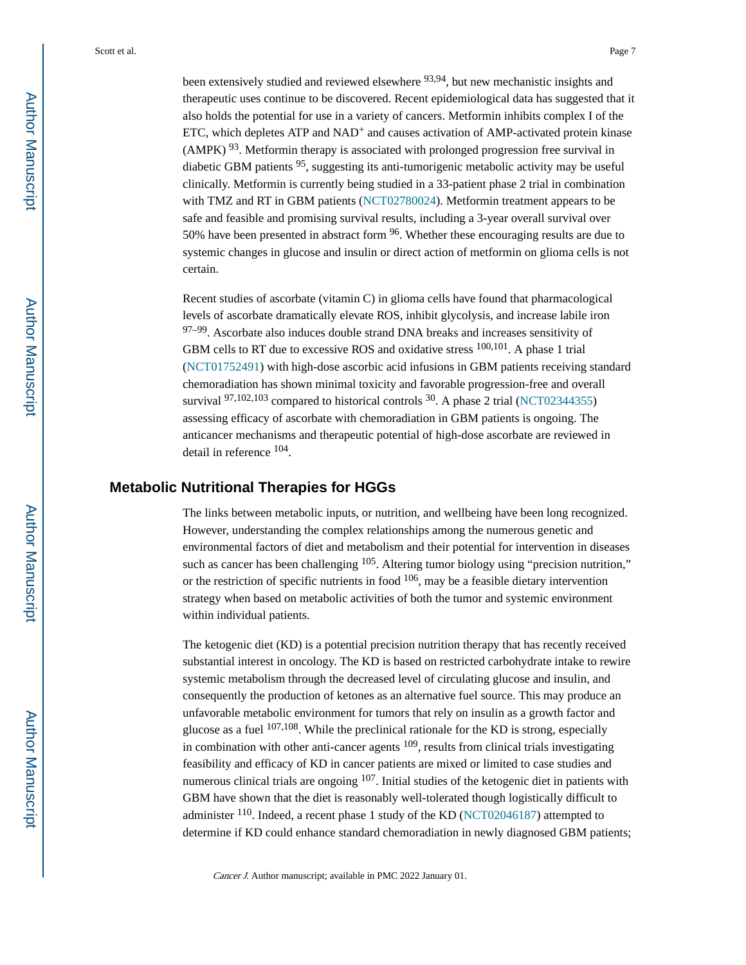been extensively studied and reviewed elsewhere <sup>93,94</sup>, but new mechanistic insights and therapeutic uses continue to be discovered. Recent epidemiological data has suggested that it also holds the potential for use in a variety of cancers. Metformin inhibits complex I of the ETC, which depletes ATP and  $NAD<sup>+</sup>$  and causes activation of AMP-activated protein kinase  $(AMPK)^{93}$ . Metformin therapy is associated with prolonged progression free survival in diabetic GBM patients 95, suggesting its anti-tumorigenic metabolic activity may be useful clinically. Metformin is currently being studied in a 33-patient phase 2 trial in combination with TMZ and RT in GBM patients [\(NCT02780024](https://clinicaltrials.gov/ct2/show/NCT02780024)). Metformin treatment appears to be safe and feasible and promising survival results, including a 3-year overall survival over 50% have been presented in abstract form  $96$ . Whether these encouraging results are due to systemic changes in glucose and insulin or direct action of metformin on glioma cells is not certain.

Recent studies of ascorbate (vitamin C) in glioma cells have found that pharmacological levels of ascorbate dramatically elevate ROS, inhibit glycolysis, and increase labile iron 97–99. Ascorbate also induces double strand DNA breaks and increases sensitivity of GBM cells to RT due to excessive ROS and oxidative stress <sup>100,101</sup>. A phase 1 trial [\(NCT01752491](https://clinicaltrials.gov/ct2/show/NCT01752491)) with high-dose ascorbic acid infusions in GBM patients receiving standard chemoradiation has shown minimal toxicity and favorable progression-free and overall survival <sup>97,102,103</sup> compared to historical controls <sup>30</sup>. A phase 2 trial ([NCT02344355\)](https://clinicaltrials.gov/ct2/show/NCT02344355) assessing efficacy of ascorbate with chemoradiation in GBM patients is ongoing. The anticancer mechanisms and therapeutic potential of high-dose ascorbate are reviewed in detail in reference  $104$ .

#### **Metabolic Nutritional Therapies for HGGs**

The links between metabolic inputs, or nutrition, and wellbeing have been long recognized. However, understanding the complex relationships among the numerous genetic and environmental factors of diet and metabolism and their potential for intervention in diseases such as cancer has been challenging <sup>105</sup>. Altering tumor biology using "precision nutrition," or the restriction of specific nutrients in food  $106$ , may be a feasible dietary intervention strategy when based on metabolic activities of both the tumor and systemic environment within individual patients.

The ketogenic diet (KD) is a potential precision nutrition therapy that has recently received substantial interest in oncology. The KD is based on restricted carbohydrate intake to rewire systemic metabolism through the decreased level of circulating glucose and insulin, and consequently the production of ketones as an alternative fuel source. This may produce an unfavorable metabolic environment for tumors that rely on insulin as a growth factor and glucose as a fuel  $107,108$ . While the preclinical rationale for the KD is strong, especially in combination with other anti-cancer agents 109, results from clinical trials investigating feasibility and efficacy of KD in cancer patients are mixed or limited to case studies and numerous clinical trials are ongoing <sup>107</sup>. Initial studies of the ketogenic diet in patients with GBM have shown that the diet is reasonably well-tolerated though logistically difficult to administer 110. Indeed, a recent phase 1 study of the KD ([NCT02046187\)](https://clinicaltrials.gov/ct2/show/NCT02046187) attempted to determine if KD could enhance standard chemoradiation in newly diagnosed GBM patients;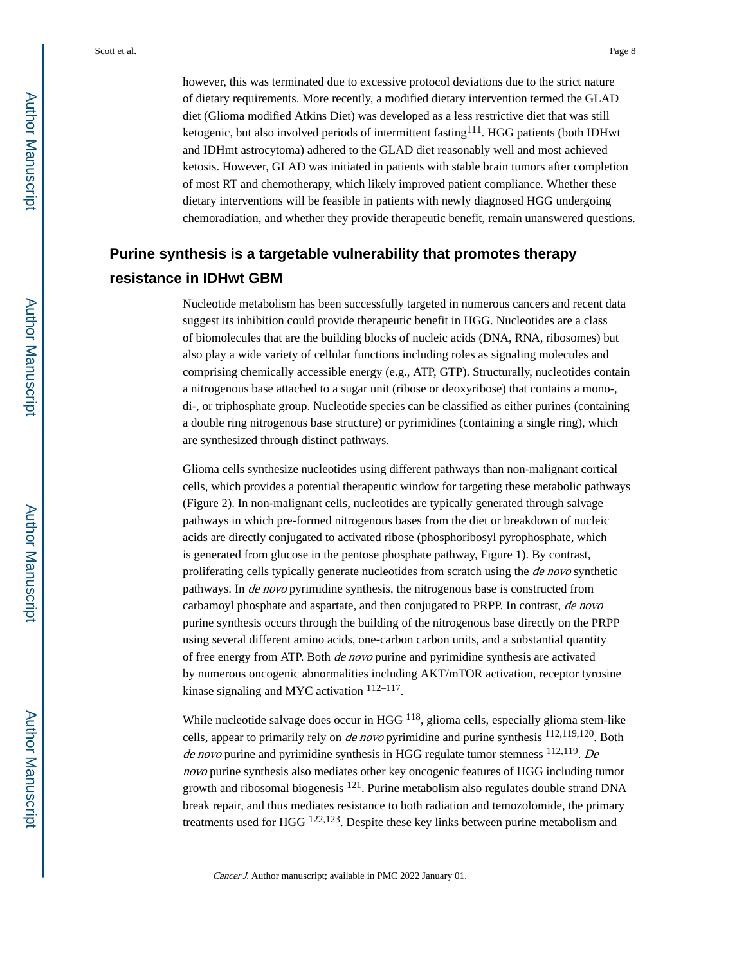however, this was terminated due to excessive protocol deviations due to the strict nature of dietary requirements. More recently, a modified dietary intervention termed the GLAD diet (Glioma modified Atkins Diet) was developed as a less restrictive diet that was still ketogenic, but also involved periods of intermittent fasting $111$ . HGG patients (both IDHwt and IDHmt astrocytoma) adhered to the GLAD diet reasonably well and most achieved ketosis. However, GLAD was initiated in patients with stable brain tumors after completion of most RT and chemotherapy, which likely improved patient compliance. Whether these dietary interventions will be feasible in patients with newly diagnosed HGG undergoing chemoradiation, and whether they provide therapeutic benefit, remain unanswered questions.

# **Purine synthesis is a targetable vulnerability that promotes therapy resistance in IDHwt GBM**

Nucleotide metabolism has been successfully targeted in numerous cancers and recent data suggest its inhibition could provide therapeutic benefit in HGG. Nucleotides are a class of biomolecules that are the building blocks of nucleic acids (DNA, RNA, ribosomes) but also play a wide variety of cellular functions including roles as signaling molecules and comprising chemically accessible energy (e.g., ATP, GTP). Structurally, nucleotides contain a nitrogenous base attached to a sugar unit (ribose or deoxyribose) that contains a mono-, di-, or triphosphate group. Nucleotide species can be classified as either purines (containing a double ring nitrogenous base structure) or pyrimidines (containing a single ring), which are synthesized through distinct pathways.

Glioma cells synthesize nucleotides using different pathways than non-malignant cortical cells, which provides a potential therapeutic window for targeting these metabolic pathways (Figure 2). In non-malignant cells, nucleotides are typically generated through salvage pathways in which pre-formed nitrogenous bases from the diet or breakdown of nucleic acids are directly conjugated to activated ribose (phosphoribosyl pyrophosphate, which is generated from glucose in the pentose phosphate pathway, Figure 1). By contrast, proliferating cells typically generate nucleotides from scratch using the de novo synthetic pathways. In de novo pyrimidine synthesis, the nitrogenous base is constructed from carbamoyl phosphate and aspartate, and then conjugated to PRPP. In contrast, de novo purine synthesis occurs through the building of the nitrogenous base directly on the PRPP using several different amino acids, one-carbon carbon units, and a substantial quantity of free energy from ATP. Both de novo purine and pyrimidine synthesis are activated by numerous oncogenic abnormalities including AKT/mTOR activation, receptor tyrosine kinase signaling and MYC activation <sup>112-117</sup>.

While nucleotide salvage does occur in HGG  $^{118}$ , glioma cells, especially glioma stem-like cells, appear to primarily rely on de novo pyrimidine and purine synthesis 112,119,120. Both de novo purine and pyrimidine synthesis in HGG regulate tumor stemness  $^{112,119}$ . De novo purine synthesis also mediates other key oncogenic features of HGG including tumor growth and ribosomal biogenesis  $121$ . Purine metabolism also regulates double strand DNA break repair, and thus mediates resistance to both radiation and temozolomide, the primary treatments used for HGG 122,123. Despite these key links between purine metabolism and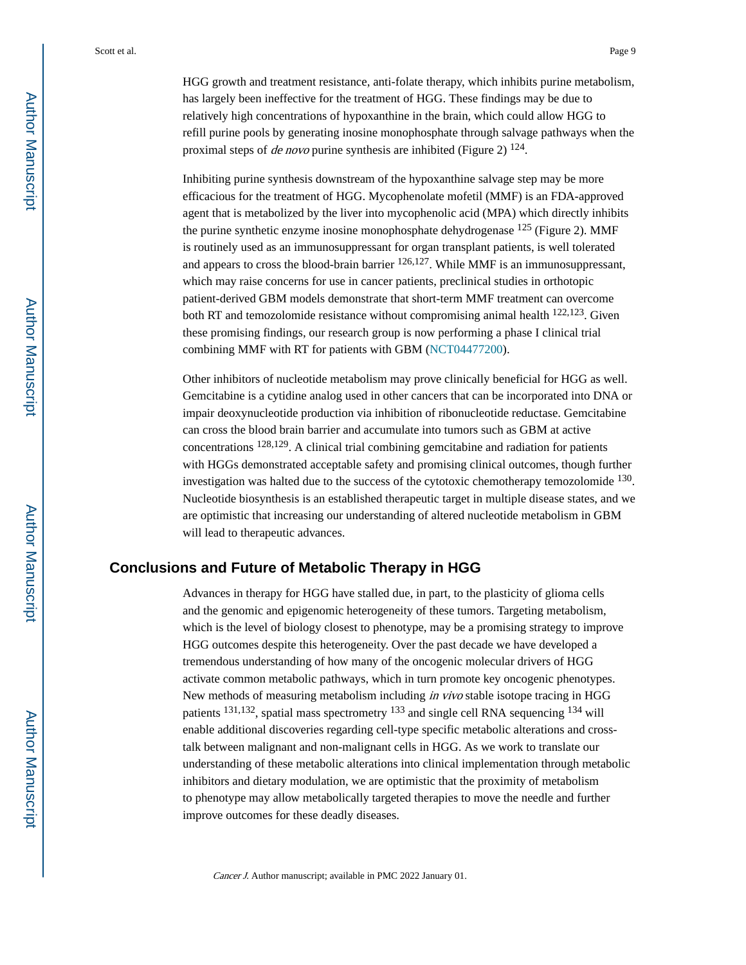HGG growth and treatment resistance, anti-folate therapy, which inhibits purine metabolism, has largely been ineffective for the treatment of HGG. These findings may be due to relatively high concentrations of hypoxanthine in the brain, which could allow HGG to refill purine pools by generating inosine monophosphate through salvage pathways when the proximal steps of *de novo* purine synthesis are inhibited (Figure 2)  $^{124}$ .

Inhibiting purine synthesis downstream of the hypoxanthine salvage step may be more efficacious for the treatment of HGG. Mycophenolate mofetil (MMF) is an FDA-approved agent that is metabolized by the liver into mycophenolic acid (MPA) which directly inhibits the purine synthetic enzyme inosine monophosphate dehydrogenase  $125$  (Figure 2). MMF is routinely used as an immunosuppressant for organ transplant patients, is well tolerated and appears to cross the blood-brain barrier  $^{126,127}$ . While MMF is an immunosuppressant, which may raise concerns for use in cancer patients, preclinical studies in orthotopic patient-derived GBM models demonstrate that short-term MMF treatment can overcome both RT and temozolomide resistance without compromising animal health <sup>122,123</sup>. Given these promising findings, our research group is now performing a phase I clinical trial combining MMF with RT for patients with GBM ([NCT04477200\)](https://clinicaltrials.gov/ct2/show/NCT04477200).

Other inhibitors of nucleotide metabolism may prove clinically beneficial for HGG as well. Gemcitabine is a cytidine analog used in other cancers that can be incorporated into DNA or impair deoxynucleotide production via inhibition of ribonucleotide reductase. Gemcitabine can cross the blood brain barrier and accumulate into tumors such as GBM at active concentrations 128,129. A clinical trial combining gemcitabine and radiation for patients with HGGs demonstrated acceptable safety and promising clinical outcomes, though further investigation was halted due to the success of the cytotoxic chemotherapy temozolomide <sup>130</sup>. Nucleotide biosynthesis is an established therapeutic target in multiple disease states, and we are optimistic that increasing our understanding of altered nucleotide metabolism in GBM will lead to therapeutic advances.

#### **Conclusions and Future of Metabolic Therapy in HGG**

Advances in therapy for HGG have stalled due, in part, to the plasticity of glioma cells and the genomic and epigenomic heterogeneity of these tumors. Targeting metabolism, which is the level of biology closest to phenotype, may be a promising strategy to improve HGG outcomes despite this heterogeneity. Over the past decade we have developed a tremendous understanding of how many of the oncogenic molecular drivers of HGG activate common metabolic pathways, which in turn promote key oncogenic phenotypes. New methods of measuring metabolism including in vivo stable isotope tracing in HGG patients 131,132, spatial mass spectrometry 133 and single cell RNA sequencing 134 will enable additional discoveries regarding cell-type specific metabolic alterations and crosstalk between malignant and non-malignant cells in HGG. As we work to translate our understanding of these metabolic alterations into clinical implementation through metabolic inhibitors and dietary modulation, we are optimistic that the proximity of metabolism to phenotype may allow metabolically targeted therapies to move the needle and further improve outcomes for these deadly diseases.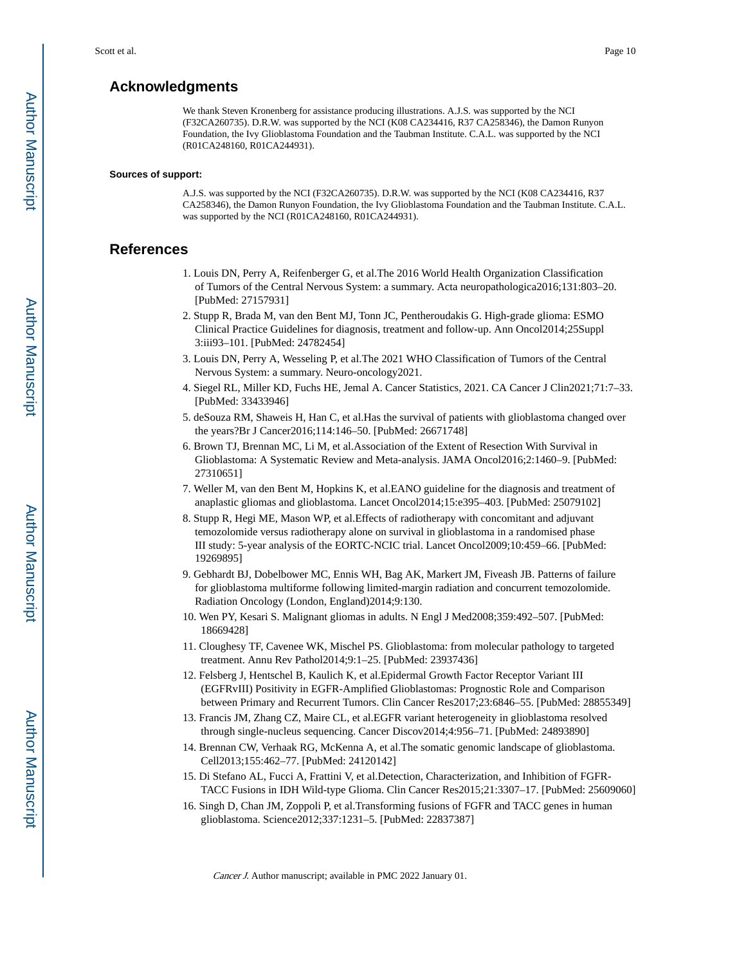#### **Acknowledgments**

We thank Steven Kronenberg for assistance producing illustrations. A.J.S. was supported by the NCI (F32CA260735). D.R.W. was supported by the NCI (K08 CA234416, R37 CA258346), the Damon Runyon Foundation, the Ivy Glioblastoma Foundation and the Taubman Institute. C.A.L. was supported by the NCI (R01CA248160, R01CA244931).

#### **Sources of support:**

A.J.S. was supported by the NCI (F32CA260735). D.R.W. was supported by the NCI (K08 CA234416, R37 CA258346), the Damon Runyon Foundation, the Ivy Glioblastoma Foundation and the Taubman Institute. C.A.L. was supported by the NCI (R01CA248160, R01CA244931).

#### **References**

- 1. Louis DN, Perry A, Reifenberger G, et al.The 2016 World Health Organization Classification of Tumors of the Central Nervous System: a summary. Acta neuropathologica2016;131:803–20. [PubMed: 27157931]
- 2. Stupp R, Brada M, van den Bent MJ, Tonn JC, Pentheroudakis G. High-grade glioma: ESMO Clinical Practice Guidelines for diagnosis, treatment and follow-up. Ann Oncol2014;25Suppl 3:iii93–101. [PubMed: 24782454]
- 3. Louis DN, Perry A, Wesseling P, et al.The 2021 WHO Classification of Tumors of the Central Nervous System: a summary. Neuro-oncology2021.
- 4. Siegel RL, Miller KD, Fuchs HE, Jemal A. Cancer Statistics, 2021. CA Cancer J Clin2021;71:7–33. [PubMed: 33433946]
- 5. deSouza RM, Shaweis H, Han C, et al.Has the survival of patients with glioblastoma changed over the years?Br J Cancer2016;114:146–50. [PubMed: 26671748]
- 6. Brown TJ, Brennan MC, Li M, et al.Association of the Extent of Resection With Survival in Glioblastoma: A Systematic Review and Meta-analysis. JAMA Oncol2016;2:1460–9. [PubMed: 27310651]
- 7. Weller M, van den Bent M, Hopkins K, et al.EANO guideline for the diagnosis and treatment of anaplastic gliomas and glioblastoma. Lancet Oncol2014;15:e395–403. [PubMed: 25079102]
- 8. Stupp R, Hegi ME, Mason WP, et al.Effects of radiotherapy with concomitant and adjuvant temozolomide versus radiotherapy alone on survival in glioblastoma in a randomised phase III study: 5-year analysis of the EORTC-NCIC trial. Lancet Oncol2009;10:459–66. [PubMed: 19269895]
- 9. Gebhardt BJ, Dobelbower MC, Ennis WH, Bag AK, Markert JM, Fiveash JB. Patterns of failure for glioblastoma multiforme following limited-margin radiation and concurrent temozolomide. Radiation Oncology (London, England)2014;9:130.
- 10. Wen PY, Kesari S. Malignant gliomas in adults. N Engl J Med2008;359:492–507. [PubMed: 18669428]
- 11. Cloughesy TF, Cavenee WK, Mischel PS. Glioblastoma: from molecular pathology to targeted treatment. Annu Rev Pathol2014;9:1–25. [PubMed: 23937436]
- 12. Felsberg J, Hentschel B, Kaulich K, et al.Epidermal Growth Factor Receptor Variant III (EGFRvIII) Positivity in EGFR-Amplified Glioblastomas: Prognostic Role and Comparison between Primary and Recurrent Tumors. Clin Cancer Res2017;23:6846–55. [PubMed: 28855349]
- 13. Francis JM, Zhang CZ, Maire CL, et al.EGFR variant heterogeneity in glioblastoma resolved through single-nucleus sequencing. Cancer Discov2014;4:956–71. [PubMed: 24893890]
- 14. Brennan CW, Verhaak RG, McKenna A, et al.The somatic genomic landscape of glioblastoma. Cell2013;155:462–77. [PubMed: 24120142]
- 15. Di Stefano AL, Fucci A, Frattini V, et al.Detection, Characterization, and Inhibition of FGFR-TACC Fusions in IDH Wild-type Glioma. Clin Cancer Res2015;21:3307–17. [PubMed: 25609060]
- 16. Singh D, Chan JM, Zoppoli P, et al.Transforming fusions of FGFR and TACC genes in human glioblastoma. Science2012;337:1231–5. [PubMed: 22837387]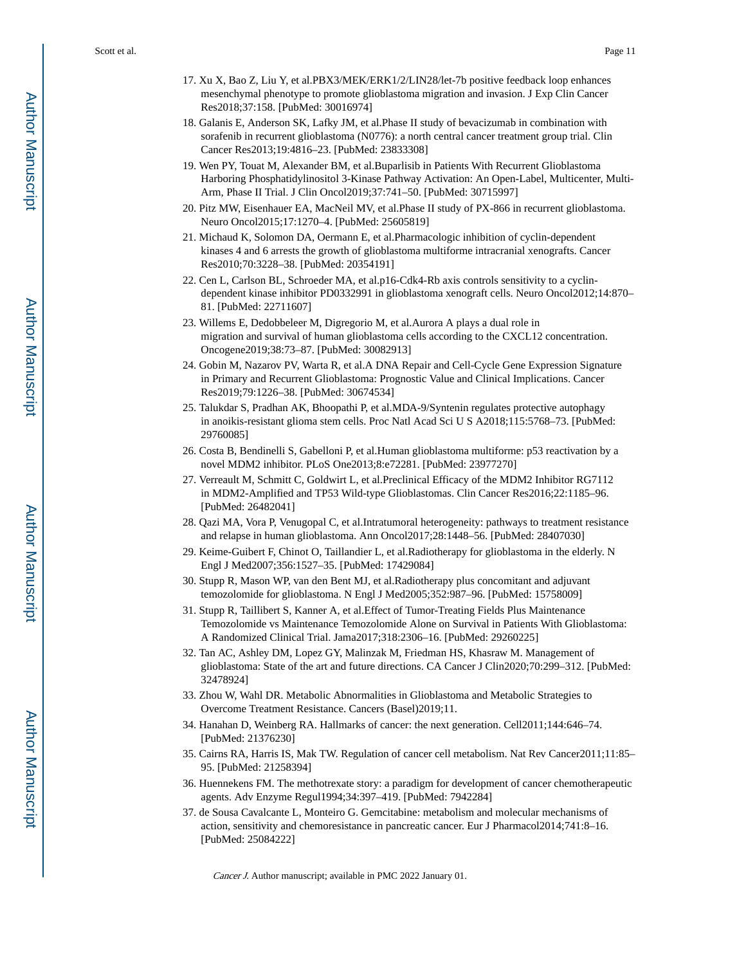- 17. Xu X, Bao Z, Liu Y, et al.PBX3/MEK/ERK1/2/LIN28/let-7b positive feedback loop enhances mesenchymal phenotype to promote glioblastoma migration and invasion. J Exp Clin Cancer Res2018;37:158. [PubMed: 30016974]
- 18. Galanis E, Anderson SK, Lafky JM, et al.Phase II study of bevacizumab in combination with sorafenib in recurrent glioblastoma (N0776): a north central cancer treatment group trial. Clin Cancer Res2013;19:4816–23. [PubMed: 23833308]
- 19. Wen PY, Touat M, Alexander BM, et al.Buparlisib in Patients With Recurrent Glioblastoma Harboring Phosphatidylinositol 3-Kinase Pathway Activation: An Open-Label, Multicenter, Multi-Arm, Phase II Trial. J Clin Oncol2019;37:741–50. [PubMed: 30715997]
- 20. Pitz MW, Eisenhauer EA, MacNeil MV, et al.Phase II study of PX-866 in recurrent glioblastoma. Neuro Oncol2015;17:1270–4. [PubMed: 25605819]
- 21. Michaud K, Solomon DA, Oermann E, et al.Pharmacologic inhibition of cyclin-dependent kinases 4 and 6 arrests the growth of glioblastoma multiforme intracranial xenografts. Cancer Res2010;70:3228–38. [PubMed: 20354191]
- 22. Cen L, Carlson BL, Schroeder MA, et al.p16-Cdk4-Rb axis controls sensitivity to a cyclindependent kinase inhibitor PD0332991 in glioblastoma xenograft cells. Neuro Oncol2012;14:870– 81. [PubMed: 22711607]
- 23. Willems E, Dedobbeleer M, Digregorio M, et al.Aurora A plays a dual role in migration and survival of human glioblastoma cells according to the CXCL12 concentration. Oncogene2019;38:73–87. [PubMed: 30082913]
- 24. Gobin M, Nazarov PV, Warta R, et al.A DNA Repair and Cell-Cycle Gene Expression Signature in Primary and Recurrent Glioblastoma: Prognostic Value and Clinical Implications. Cancer Res2019;79:1226–38. [PubMed: 30674534]
- 25. Talukdar S, Pradhan AK, Bhoopathi P, et al.MDA-9/Syntenin regulates protective autophagy in anoikis-resistant glioma stem cells. Proc Natl Acad Sci U S A2018;115:5768–73. [PubMed: 29760085]
- 26. Costa B, Bendinelli S, Gabelloni P, et al.Human glioblastoma multiforme: p53 reactivation by a novel MDM2 inhibitor. PLoS One2013;8:e72281. [PubMed: 23977270]
- 27. Verreault M, Schmitt C, Goldwirt L, et al.Preclinical Efficacy of the MDM2 Inhibitor RG7112 in MDM2-Amplified and TP53 Wild-type Glioblastomas. Clin Cancer Res2016;22:1185–96. [PubMed: 26482041]
- 28. Qazi MA, Vora P, Venugopal C, et al.Intratumoral heterogeneity: pathways to treatment resistance and relapse in human glioblastoma. Ann Oncol2017;28:1448–56. [PubMed: 28407030]
- 29. Keime-Guibert F, Chinot O, Taillandier L, et al.Radiotherapy for glioblastoma in the elderly. N Engl J Med2007;356:1527–35. [PubMed: 17429084]
- 30. Stupp R, Mason WP, van den Bent MJ, et al.Radiotherapy plus concomitant and adjuvant temozolomide for glioblastoma. N Engl J Med2005;352:987–96. [PubMed: 15758009]
- 31. Stupp R, Taillibert S, Kanner A, et al.Effect of Tumor-Treating Fields Plus Maintenance Temozolomide vs Maintenance Temozolomide Alone on Survival in Patients With Glioblastoma: A Randomized Clinical Trial. Jama2017;318:2306–16. [PubMed: 29260225]
- 32. Tan AC, Ashley DM, Lopez GY, Malinzak M, Friedman HS, Khasraw M. Management of glioblastoma: State of the art and future directions. CA Cancer J Clin2020;70:299–312. [PubMed: 32478924]
- 33. Zhou W, Wahl DR. Metabolic Abnormalities in Glioblastoma and Metabolic Strategies to Overcome Treatment Resistance. Cancers (Basel)2019;11.
- 34. Hanahan D, Weinberg RA. Hallmarks of cancer: the next generation. Cell2011;144:646–74. [PubMed: 21376230]
- 35. Cairns RA, Harris IS, Mak TW. Regulation of cancer cell metabolism. Nat Rev Cancer2011;11:85– 95. [PubMed: 21258394]
- 36. Huennekens FM. The methotrexate story: a paradigm for development of cancer chemotherapeutic agents. Adv Enzyme Regul1994;34:397–419. [PubMed: 7942284]
- 37. de Sousa Cavalcante L, Monteiro G. Gemcitabine: metabolism and molecular mechanisms of action, sensitivity and chemoresistance in pancreatic cancer. Eur J Pharmacol2014;741:8–16. [PubMed: 25084222]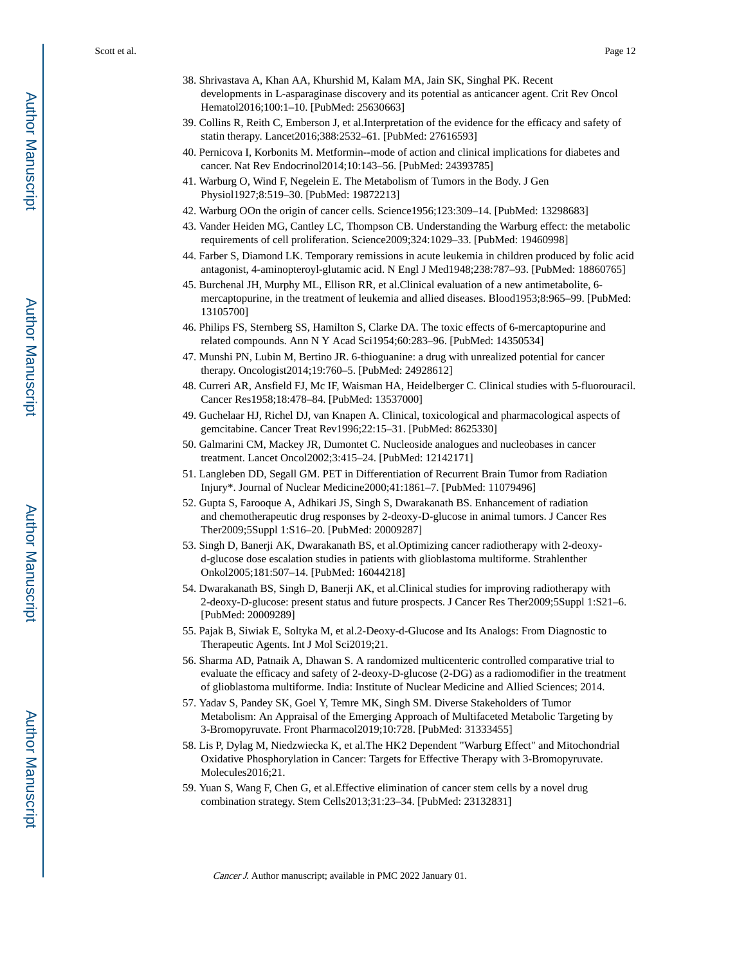- 38. Shrivastava A, Khan AA, Khurshid M, Kalam MA, Jain SK, Singhal PK. Recent developments in L-asparaginase discovery and its potential as anticancer agent. Crit Rev Oncol Hematol2016;100:1–10. [PubMed: 25630663]
- 39. Collins R, Reith C, Emberson J, et al.Interpretation of the evidence for the efficacy and safety of statin therapy. Lancet2016;388:2532–61. [PubMed: 27616593]
- 40. Pernicova I, Korbonits M. Metformin--mode of action and clinical implications for diabetes and cancer. Nat Rev Endocrinol2014;10:143–56. [PubMed: 24393785]
- 41. Warburg O, Wind F, Negelein E. The Metabolism of Tumors in the Body. J Gen Physiol1927;8:519–30. [PubMed: 19872213]
- 42. Warburg OOn the origin of cancer cells. Science1956;123:309–14. [PubMed: 13298683]
- 43. Vander Heiden MG, Cantley LC, Thompson CB. Understanding the Warburg effect: the metabolic requirements of cell proliferation. Science2009;324:1029–33. [PubMed: 19460998]
- 44. Farber S, Diamond LK. Temporary remissions in acute leukemia in children produced by folic acid antagonist, 4-aminopteroyl-glutamic acid. N Engl J Med1948;238:787–93. [PubMed: 18860765]
- 45. Burchenal JH, Murphy ML, Ellison RR, et al.Clinical evaluation of a new antimetabolite, 6 mercaptopurine, in the treatment of leukemia and allied diseases. Blood1953;8:965–99. [PubMed: 13105700]
- 46. Philips FS, Sternberg SS, Hamilton S, Clarke DA. The toxic effects of 6-mercaptopurine and related compounds. Ann N Y Acad Sci1954;60:283–96. [PubMed: 14350534]
- 47. Munshi PN, Lubin M, Bertino JR. 6-thioguanine: a drug with unrealized potential for cancer therapy. Oncologist2014;19:760–5. [PubMed: 24928612]
- 48. Curreri AR, Ansfield FJ, Mc IF, Waisman HA, Heidelberger C. Clinical studies with 5-fluorouracil. Cancer Res1958;18:478–84. [PubMed: 13537000]
- 49. Guchelaar HJ, Richel DJ, van Knapen A. Clinical, toxicological and pharmacological aspects of gemcitabine. Cancer Treat Rev1996;22:15–31. [PubMed: 8625330]
- 50. Galmarini CM, Mackey JR, Dumontet C. Nucleoside analogues and nucleobases in cancer treatment. Lancet Oncol2002;3:415–24. [PubMed: 12142171]
- 51. Langleben DD, Segall GM. PET in Differentiation of Recurrent Brain Tumor from Radiation Injury\*. Journal of Nuclear Medicine2000;41:1861–7. [PubMed: 11079496]
- 52. Gupta S, Farooque A, Adhikari JS, Singh S, Dwarakanath BS. Enhancement of radiation and chemotherapeutic drug responses by 2-deoxy-D-glucose in animal tumors. J Cancer Res Ther2009;5Suppl 1:S16–20. [PubMed: 20009287]
- 53. Singh D, Banerji AK, Dwarakanath BS, et al.Optimizing cancer radiotherapy with 2-deoxyd-glucose dose escalation studies in patients with glioblastoma multiforme. Strahlenther Onkol2005;181:507–14. [PubMed: 16044218]
- 54. Dwarakanath BS, Singh D, Banerji AK, et al.Clinical studies for improving radiotherapy with 2-deoxy-D-glucose: present status and future prospects. J Cancer Res Ther2009;5Suppl 1:S21–6. [PubMed: 20009289]
- 55. Pajak B, Siwiak E, Soltyka M, et al.2-Deoxy-d-Glucose and Its Analogs: From Diagnostic to Therapeutic Agents. Int J Mol Sci2019;21.
- 56. Sharma AD, Patnaik A, Dhawan S. A randomized multicenteric controlled comparative trial to evaluate the efficacy and safety of 2-deoxy-D-glucose (2-DG) as a radiomodifier in the treatment of glioblastoma multiforme. India: Institute of Nuclear Medicine and Allied Sciences; 2014.
- 57. Yadav S, Pandey SK, Goel Y, Temre MK, Singh SM. Diverse Stakeholders of Tumor Metabolism: An Appraisal of the Emerging Approach of Multifaceted Metabolic Targeting by 3-Bromopyruvate. Front Pharmacol2019;10:728. [PubMed: 31333455]
- 58. Lis P, Dylag M, Niedzwiecka K, et al.The HK2 Dependent "Warburg Effect" and Mitochondrial Oxidative Phosphorylation in Cancer: Targets for Effective Therapy with 3-Bromopyruvate. Molecules2016;21.
- 59. Yuan S, Wang F, Chen G, et al.Effective elimination of cancer stem cells by a novel drug combination strategy. Stem Cells2013;31:23–34. [PubMed: 23132831]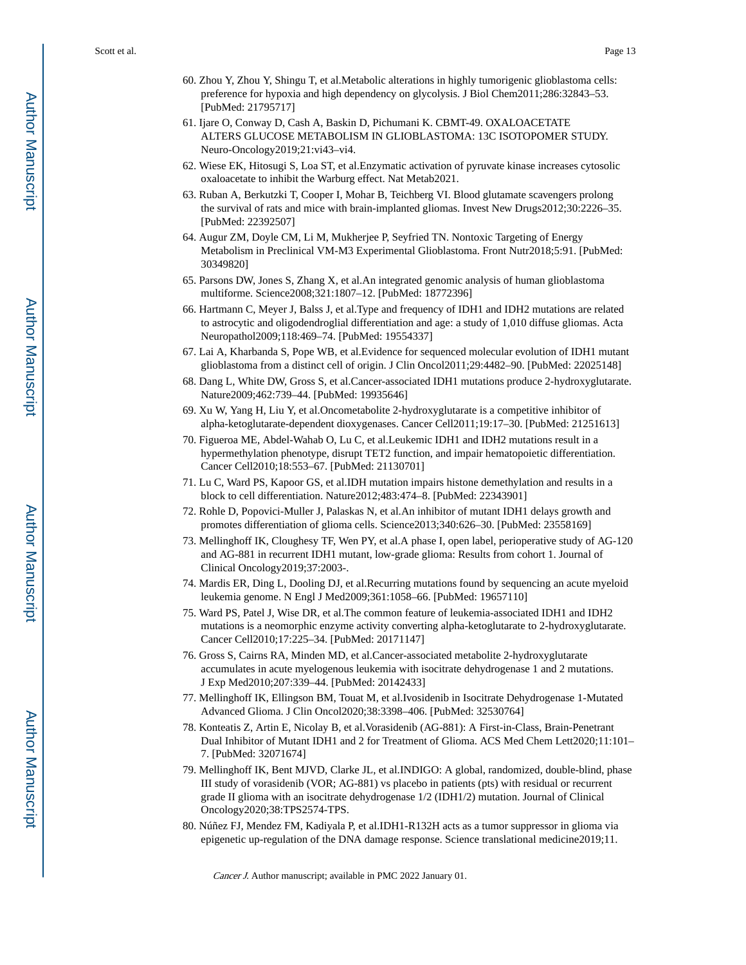- 60. Zhou Y, Zhou Y, Shingu T, et al.Metabolic alterations in highly tumorigenic glioblastoma cells: preference for hypoxia and high dependency on glycolysis. J Biol Chem2011;286:32843–53. [PubMed: 21795717]
- 61. Ijare O, Conway D, Cash A, Baskin D, Pichumani K. CBMT-49. OXALOACETATE ALTERS GLUCOSE METABOLISM IN GLIOBLASTOMA: 13C ISOTOPOMER STUDY. Neuro-Oncology2019;21:vi43–vi4.
- 62. Wiese EK, Hitosugi S, Loa ST, et al.Enzymatic activation of pyruvate kinase increases cytosolic oxaloacetate to inhibit the Warburg effect. Nat Metab2021.
- 63. Ruban A, Berkutzki T, Cooper I, Mohar B, Teichberg VI. Blood glutamate scavengers prolong the survival of rats and mice with brain-implanted gliomas. Invest New Drugs2012;30:2226–35. [PubMed: 22392507]
- 64. Augur ZM, Doyle CM, Li M, Mukherjee P, Seyfried TN. Nontoxic Targeting of Energy Metabolism in Preclinical VM-M3 Experimental Glioblastoma. Front Nutr2018;5:91. [PubMed: 30349820]
- 65. Parsons DW, Jones S, Zhang X, et al.An integrated genomic analysis of human glioblastoma multiforme. Science2008;321:1807–12. [PubMed: 18772396]
- 66. Hartmann C, Meyer J, Balss J, et al.Type and frequency of IDH1 and IDH2 mutations are related to astrocytic and oligodendroglial differentiation and age: a study of 1,010 diffuse gliomas. Acta Neuropathol2009;118:469–74. [PubMed: 19554337]
- 67. Lai A, Kharbanda S, Pope WB, et al.Evidence for sequenced molecular evolution of IDH1 mutant glioblastoma from a distinct cell of origin. J Clin Oncol2011;29:4482–90. [PubMed: 22025148]
- 68. Dang L, White DW, Gross S, et al.Cancer-associated IDH1 mutations produce 2-hydroxyglutarate. Nature2009;462:739–44. [PubMed: 19935646]
- 69. Xu W, Yang H, Liu Y, et al.Oncometabolite 2-hydroxyglutarate is a competitive inhibitor of alpha-ketoglutarate-dependent dioxygenases. Cancer Cell2011;19:17–30. [PubMed: 21251613]
- 70. Figueroa ME, Abdel-Wahab O, Lu C, et al.Leukemic IDH1 and IDH2 mutations result in a hypermethylation phenotype, disrupt TET2 function, and impair hematopoietic differentiation. Cancer Cell2010;18:553–67. [PubMed: 21130701]
- 71. Lu C, Ward PS, Kapoor GS, et al.IDH mutation impairs histone demethylation and results in a block to cell differentiation. Nature2012;483:474–8. [PubMed: 22343901]
- 72. Rohle D, Popovici-Muller J, Palaskas N, et al.An inhibitor of mutant IDH1 delays growth and promotes differentiation of glioma cells. Science2013;340:626–30. [PubMed: 23558169]
- 73. Mellinghoff IK, Cloughesy TF, Wen PY, et al.A phase I, open label, perioperative study of AG-120 and AG-881 in recurrent IDH1 mutant, low-grade glioma: Results from cohort 1. Journal of Clinical Oncology2019;37:2003-.
- 74. Mardis ER, Ding L, Dooling DJ, et al.Recurring mutations found by sequencing an acute myeloid leukemia genome. N Engl J Med2009;361:1058–66. [PubMed: 19657110]
- 75. Ward PS, Patel J, Wise DR, et al.The common feature of leukemia-associated IDH1 and IDH2 mutations is a neomorphic enzyme activity converting alpha-ketoglutarate to 2-hydroxyglutarate. Cancer Cell2010;17:225–34. [PubMed: 20171147]
- 76. Gross S, Cairns RA, Minden MD, et al.Cancer-associated metabolite 2-hydroxyglutarate accumulates in acute myelogenous leukemia with isocitrate dehydrogenase 1 and 2 mutations. J Exp Med2010;207:339–44. [PubMed: 20142433]
- 77. Mellinghoff IK, Ellingson BM, Touat M, et al.Ivosidenib in Isocitrate Dehydrogenase 1-Mutated Advanced Glioma. J Clin Oncol2020;38:3398–406. [PubMed: 32530764]
- 78. Konteatis Z, Artin E, Nicolay B, et al.Vorasidenib (AG-881): A First-in-Class, Brain-Penetrant Dual Inhibitor of Mutant IDH1 and 2 for Treatment of Glioma. ACS Med Chem Lett2020;11:101– 7. [PubMed: 32071674]
- 79. Mellinghoff IK, Bent MJVD, Clarke JL, et al.INDIGO: A global, randomized, double-blind, phase III study of vorasidenib (VOR; AG-881) vs placebo in patients (pts) with residual or recurrent grade II glioma with an isocitrate dehydrogenase 1/2 (IDH1/2) mutation. Journal of Clinical Oncology2020;38:TPS2574-TPS.
- 80. Núñez FJ, Mendez FM, Kadiyala P, et al.IDH1-R132H acts as a tumor suppressor in glioma via epigenetic up-regulation of the DNA damage response. Science translational medicine2019;11.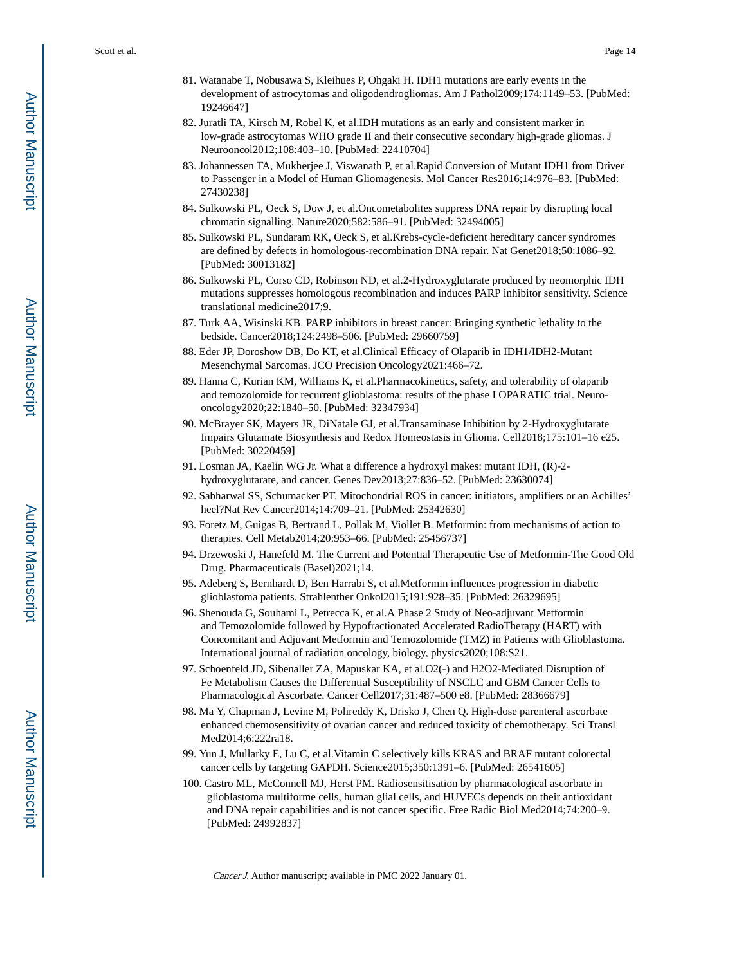- 81. Watanabe T, Nobusawa S, Kleihues P, Ohgaki H. IDH1 mutations are early events in the development of astrocytomas and oligodendrogliomas. Am J Pathol2009;174:1149–53. [PubMed: 19246647]
- 82. Juratli TA, Kirsch M, Robel K, et al.IDH mutations as an early and consistent marker in low-grade astrocytomas WHO grade II and their consecutive secondary high-grade gliomas. J Neurooncol2012;108:403–10. [PubMed: 22410704]
- 83. Johannessen TA, Mukherjee J, Viswanath P, et al.Rapid Conversion of Mutant IDH1 from Driver to Passenger in a Model of Human Gliomagenesis. Mol Cancer Res2016;14:976–83. [PubMed: 27430238]
- 84. Sulkowski PL, Oeck S, Dow J, et al.Oncometabolites suppress DNA repair by disrupting local chromatin signalling. Nature2020;582:586–91. [PubMed: 32494005]
- 85. Sulkowski PL, Sundaram RK, Oeck S, et al.Krebs-cycle-deficient hereditary cancer syndromes are defined by defects in homologous-recombination DNA repair. Nat Genet2018;50:1086–92. [PubMed: 30013182]
- 86. Sulkowski PL, Corso CD, Robinson ND, et al.2-Hydroxyglutarate produced by neomorphic IDH mutations suppresses homologous recombination and induces PARP inhibitor sensitivity. Science translational medicine2017;9.
- 87. Turk AA, Wisinski KB. PARP inhibitors in breast cancer: Bringing synthetic lethality to the bedside. Cancer2018;124:2498–506. [PubMed: 29660759]
- 88. Eder JP, Doroshow DB, Do KT, et al.Clinical Efficacy of Olaparib in IDH1/IDH2-Mutant Mesenchymal Sarcomas. JCO Precision Oncology2021:466–72.
- 89. Hanna C, Kurian KM, Williams K, et al.Pharmacokinetics, safety, and tolerability of olaparib and temozolomide for recurrent glioblastoma: results of the phase I OPARATIC trial. Neurooncology2020;22:1840–50. [PubMed: 32347934]
- 90. McBrayer SK, Mayers JR, DiNatale GJ, et al.Transaminase Inhibition by 2-Hydroxyglutarate Impairs Glutamate Biosynthesis and Redox Homeostasis in Glioma. Cell2018;175:101–16 e25. [PubMed: 30220459]
- 91. Losman JA, Kaelin WG Jr. What a difference a hydroxyl makes: mutant IDH, (R)-2 hydroxyglutarate, and cancer. Genes Dev2013;27:836–52. [PubMed: 23630074]
- 92. Sabharwal SS, Schumacker PT. Mitochondrial ROS in cancer: initiators, amplifiers or an Achilles' heel?Nat Rev Cancer2014;14:709–21. [PubMed: 25342630]
- 93. Foretz M, Guigas B, Bertrand L, Pollak M, Viollet B. Metformin: from mechanisms of action to therapies. Cell Metab2014;20:953–66. [PubMed: 25456737]
- 94. Drzewoski J, Hanefeld M. The Current and Potential Therapeutic Use of Metformin-The Good Old Drug. Pharmaceuticals (Basel)2021;14.
- 95. Adeberg S, Bernhardt D, Ben Harrabi S, et al.Metformin influences progression in diabetic glioblastoma patients. Strahlenther Onkol2015;191:928–35. [PubMed: 26329695]
- 96. Shenouda G, Souhami L, Petrecca K, et al.A Phase 2 Study of Neo-adjuvant Metformin and Temozolomide followed by Hypofractionated Accelerated RadioTherapy (HART) with Concomitant and Adjuvant Metformin and Temozolomide (TMZ) in Patients with Glioblastoma. International journal of radiation oncology, biology, physics2020;108:S21.
- 97. Schoenfeld JD, Sibenaller ZA, Mapuskar KA, et al.O2(-) and H2O2-Mediated Disruption of Fe Metabolism Causes the Differential Susceptibility of NSCLC and GBM Cancer Cells to Pharmacological Ascorbate. Cancer Cell2017;31:487–500 e8. [PubMed: 28366679]
- 98. Ma Y, Chapman J, Levine M, Polireddy K, Drisko J, Chen Q. High-dose parenteral ascorbate enhanced chemosensitivity of ovarian cancer and reduced toxicity of chemotherapy. Sci Transl Med2014;6:222ra18.
- 99. Yun J, Mullarky E, Lu C, et al.Vitamin C selectively kills KRAS and BRAF mutant colorectal cancer cells by targeting GAPDH. Science2015;350:1391–6. [PubMed: 26541605]
- 100. Castro ML, McConnell MJ, Herst PM. Radiosensitisation by pharmacological ascorbate in glioblastoma multiforme cells, human glial cells, and HUVECs depends on their antioxidant and DNA repair capabilities and is not cancer specific. Free Radic Biol Med2014;74:200–9. [PubMed: 24992837]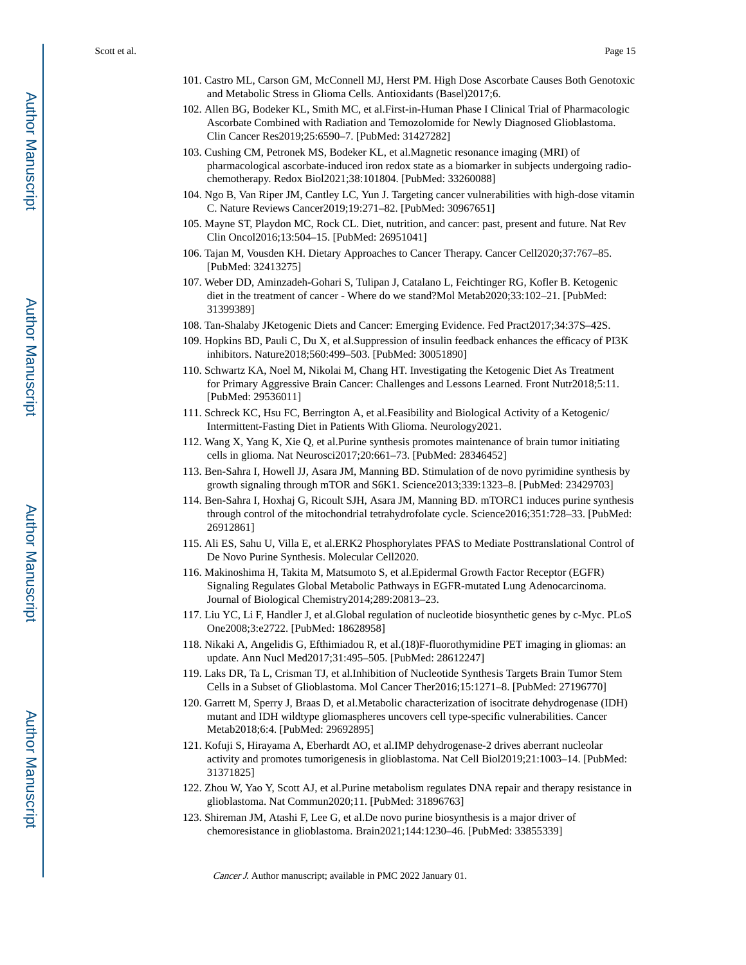- 101. Castro ML, Carson GM, McConnell MJ, Herst PM. High Dose Ascorbate Causes Both Genotoxic and Metabolic Stress in Glioma Cells. Antioxidants (Basel)2017;6.
- 102. Allen BG, Bodeker KL, Smith MC, et al.First-in-Human Phase I Clinical Trial of Pharmacologic Ascorbate Combined with Radiation and Temozolomide for Newly Diagnosed Glioblastoma. Clin Cancer Res2019;25:6590–7. [PubMed: 31427282]
- 103. Cushing CM, Petronek MS, Bodeker KL, et al.Magnetic resonance imaging (MRI) of pharmacological ascorbate-induced iron redox state as a biomarker in subjects undergoing radiochemotherapy. Redox Biol2021;38:101804. [PubMed: 33260088]
- 104. Ngo B, Van Riper JM, Cantley LC, Yun J. Targeting cancer vulnerabilities with high-dose vitamin C. Nature Reviews Cancer2019;19:271–82. [PubMed: 30967651]
- 105. Mayne ST, Playdon MC, Rock CL. Diet, nutrition, and cancer: past, present and future. Nat Rev Clin Oncol2016;13:504–15. [PubMed: 26951041]
- 106. Tajan M, Vousden KH. Dietary Approaches to Cancer Therapy. Cancer Cell2020;37:767–85. [PubMed: 32413275]
- 107. Weber DD, Aminzadeh-Gohari S, Tulipan J, Catalano L, Feichtinger RG, Kofler B. Ketogenic diet in the treatment of cancer - Where do we stand?Mol Metab2020;33:102–21. [PubMed: 31399389]
- 108. Tan-Shalaby JKetogenic Diets and Cancer: Emerging Evidence. Fed Pract2017;34:37S–42S.
- 109. Hopkins BD, Pauli C, Du X, et al.Suppression of insulin feedback enhances the efficacy of PI3K inhibitors. Nature2018;560:499–503. [PubMed: 30051890]
- 110. Schwartz KA, Noel M, Nikolai M, Chang HT. Investigating the Ketogenic Diet As Treatment for Primary Aggressive Brain Cancer: Challenges and Lessons Learned. Front Nutr2018;5:11. [PubMed: 29536011]
- 111. Schreck KC, Hsu FC, Berrington A, et al.Feasibility and Biological Activity of a Ketogenic/ Intermittent-Fasting Diet in Patients With Glioma. Neurology2021.
- 112. Wang X, Yang K, Xie Q, et al.Purine synthesis promotes maintenance of brain tumor initiating cells in glioma. Nat Neurosci2017;20:661–73. [PubMed: 28346452]
- 113. Ben-Sahra I, Howell JJ, Asara JM, Manning BD. Stimulation of de novo pyrimidine synthesis by growth signaling through mTOR and S6K1. Science2013;339:1323–8. [PubMed: 23429703]
- 114. Ben-Sahra I, Hoxhaj G, Ricoult SJH, Asara JM, Manning BD. mTORC1 induces purine synthesis through control of the mitochondrial tetrahydrofolate cycle. Science2016;351:728–33. [PubMed: 26912861]
- 115. Ali ES, Sahu U, Villa E, et al.ERK2 Phosphorylates PFAS to Mediate Posttranslational Control of De Novo Purine Synthesis. Molecular Cell2020.
- 116. Makinoshima H, Takita M, Matsumoto S, et al.Epidermal Growth Factor Receptor (EGFR) Signaling Regulates Global Metabolic Pathways in EGFR-mutated Lung Adenocarcinoma. Journal of Biological Chemistry2014;289:20813–23.
- 117. Liu YC, Li F, Handler J, et al.Global regulation of nucleotide biosynthetic genes by c-Myc. PLoS One2008;3:e2722. [PubMed: 18628958]
- 118. Nikaki A, Angelidis G, Efthimiadou R, et al.(18)F-fluorothymidine PET imaging in gliomas: an update. Ann Nucl Med2017;31:495–505. [PubMed: 28612247]
- 119. Laks DR, Ta L, Crisman TJ, et al.Inhibition of Nucleotide Synthesis Targets Brain Tumor Stem Cells in a Subset of Glioblastoma. Mol Cancer Ther2016;15:1271–8. [PubMed: 27196770]
- 120. Garrett M, Sperry J, Braas D, et al.Metabolic characterization of isocitrate dehydrogenase (IDH) mutant and IDH wildtype gliomaspheres uncovers cell type-specific vulnerabilities. Cancer Metab2018;6:4. [PubMed: 29692895]
- 121. Kofuji S, Hirayama A, Eberhardt AO, et al.IMP dehydrogenase-2 drives aberrant nucleolar activity and promotes tumorigenesis in glioblastoma. Nat Cell Biol2019;21:1003–14. [PubMed: 31371825]
- 122. Zhou W, Yao Y, Scott AJ, et al.Purine metabolism regulates DNA repair and therapy resistance in glioblastoma. Nat Commun2020;11. [PubMed: 31896763]
- 123. Shireman JM, Atashi F, Lee G, et al.De novo purine biosynthesis is a major driver of chemoresistance in glioblastoma. Brain2021;144:1230–46. [PubMed: 33855339]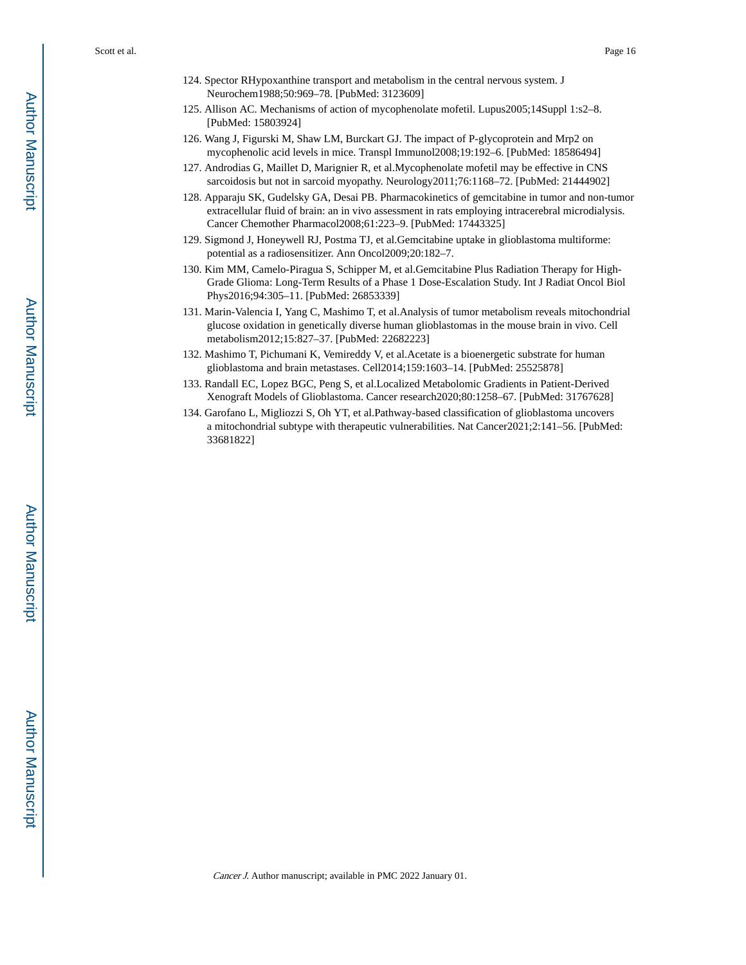- 124. Spector RHypoxanthine transport and metabolism in the central nervous system. J Neurochem1988;50:969–78. [PubMed: 3123609]
- 125. Allison AC. Mechanisms of action of mycophenolate mofetil. Lupus2005;14Suppl 1:s2–8. [PubMed: 15803924]
- 126. Wang J, Figurski M, Shaw LM, Burckart GJ. The impact of P-glycoprotein and Mrp2 on mycophenolic acid levels in mice. Transpl Immunol2008;19:192–6. [PubMed: 18586494]
- 127. Androdias G, Maillet D, Marignier R, et al.Mycophenolate mofetil may be effective in CNS sarcoidosis but not in sarcoid myopathy. Neurology2011;76:1168–72. [PubMed: 21444902]
- 128. Apparaju SK, Gudelsky GA, Desai PB. Pharmacokinetics of gemcitabine in tumor and non-tumor extracellular fluid of brain: an in vivo assessment in rats employing intracerebral microdialysis. Cancer Chemother Pharmacol2008;61:223–9. [PubMed: 17443325]
- 129. Sigmond J, Honeywell RJ, Postma TJ, et al.Gemcitabine uptake in glioblastoma multiforme: potential as a radiosensitizer. Ann Oncol2009;20:182–7.
- 130. Kim MM, Camelo-Piragua S, Schipper M, et al.Gemcitabine Plus Radiation Therapy for High-Grade Glioma: Long-Term Results of a Phase 1 Dose-Escalation Study. Int J Radiat Oncol Biol Phys2016;94:305–11. [PubMed: 26853339]
- 131. Marin-Valencia I, Yang C, Mashimo T, et al.Analysis of tumor metabolism reveals mitochondrial glucose oxidation in genetically diverse human glioblastomas in the mouse brain in vivo. Cell metabolism2012;15:827–37. [PubMed: 22682223]
- 132. Mashimo T, Pichumani K, Vemireddy V, et al.Acetate is a bioenergetic substrate for human glioblastoma and brain metastases. Cell2014;159:1603–14. [PubMed: 25525878]
- 133. Randall EC, Lopez BGC, Peng S, et al.Localized Metabolomic Gradients in Patient-Derived Xenograft Models of Glioblastoma. Cancer research2020;80:1258–67. [PubMed: 31767628]
- 134. Garofano L, Migliozzi S, Oh YT, et al.Pathway-based classification of glioblastoma uncovers a mitochondrial subtype with therapeutic vulnerabilities. Nat Cancer2021;2:141–56. [PubMed: 33681822]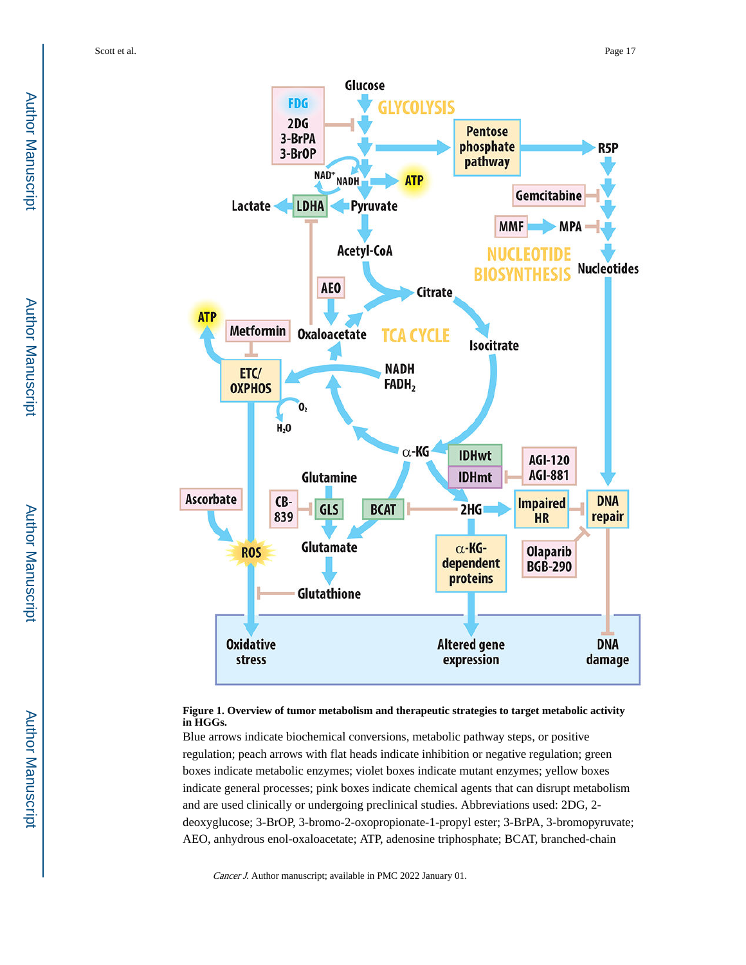**Author Manuscript** Author Manuscript



#### **Figure 1. Overview of tumor metabolism and therapeutic strategies to target metabolic activity in HGGs.**

Blue arrows indicate biochemical conversions, metabolic pathway steps, or positive regulation; peach arrows with flat heads indicate inhibition or negative regulation; green boxes indicate metabolic enzymes; violet boxes indicate mutant enzymes; yellow boxes indicate general processes; pink boxes indicate chemical agents that can disrupt metabolism and are used clinically or undergoing preclinical studies. Abbreviations used: 2DG, 2 deoxyglucose; 3-BrOP, 3-bromo-2-oxopropionate-1-propyl ester; 3-BrPA, 3-bromopyruvate; AEO, anhydrous enol-oxaloacetate; ATP, adenosine triphosphate; BCAT, branched-chain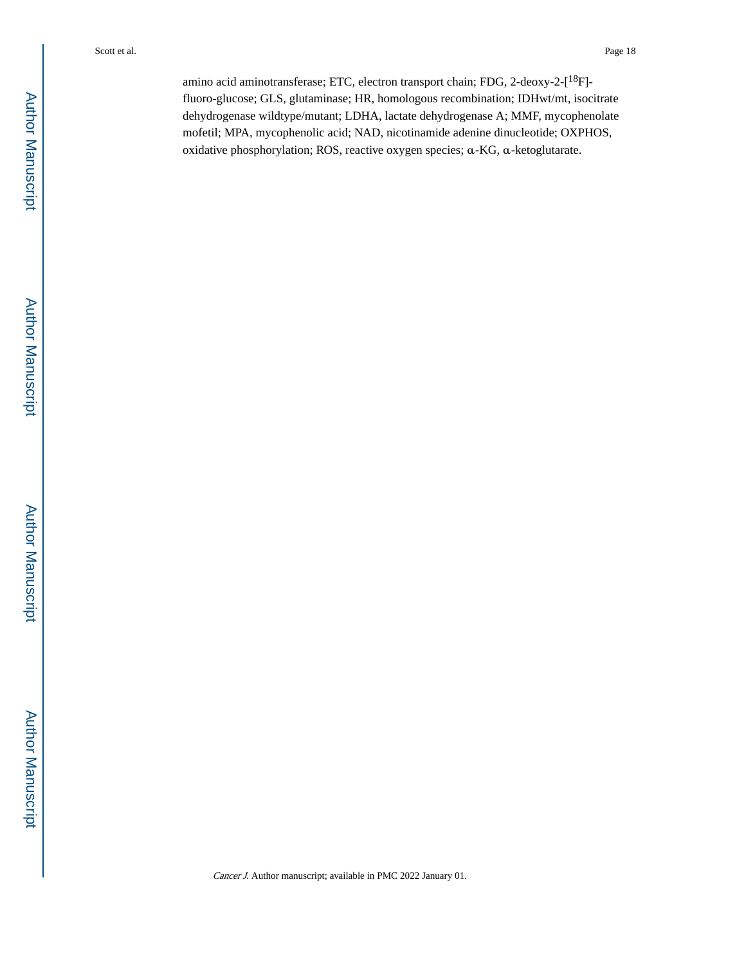amino acid aminotransferase; ETC, electron transport chain; FDG, 2-deoxy-2-[<sup>18</sup>F]fluoro-glucose; GLS, glutaminase; HR, homologous recombination; IDHwt/mt, isocitrate dehydrogenase wildtype/mutant; LDHA, lactate dehydrogenase A; MMF, mycophenolate mofetil; MPA, mycophenolic acid; NAD, nicotinamide adenine dinucleotide; OXPHOS, oxidative phosphorylation; ROS, reactive oxygen species; α-KG, α-ketoglutarate.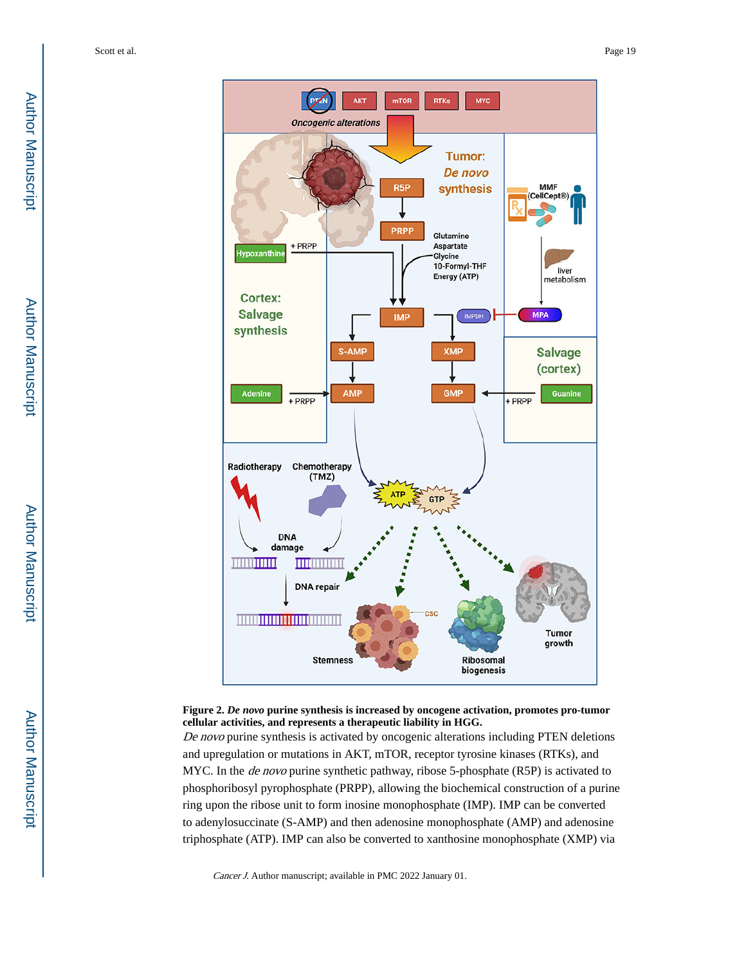



De novo purine synthesis is activated by oncogenic alterations including PTEN deletions and upregulation or mutations in AKT, mTOR, receptor tyrosine kinases (RTKs), and MYC. In the *de novo* purine synthetic pathway, ribose 5-phosphate (R5P) is activated to phosphoribosyl pyrophosphate (PRPP), allowing the biochemical construction of a purine ring upon the ribose unit to form inosine monophosphate (IMP). IMP can be converted to adenylosuccinate (S-AMP) and then adenosine monophosphate (AMP) and adenosine triphosphate (ATP). IMP can also be converted to xanthosine monophosphate (XMP) via